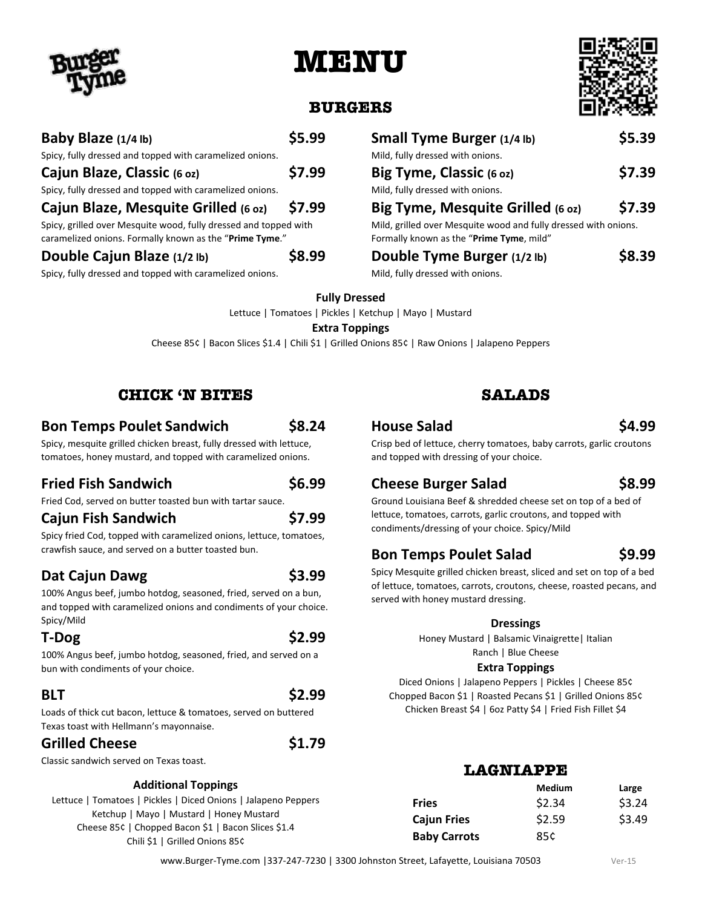# **MENU**



### **BURGERS**

| Baby Blaze (1/4 lb)                                                                                                         | \$5.99 |
|-----------------------------------------------------------------------------------------------------------------------------|--------|
| Spicy, fully dressed and topped with caramelized onions.                                                                    |        |
| Cajun Blaze, Classic (6 oz)                                                                                                 | \$7.99 |
| Spicy, fully dressed and topped with caramelized onions.                                                                    |        |
| Cajun Blaze, Mesquite Grilled (6 oz)                                                                                        | \$7.99 |
| Spicy, grilled over Mesquite wood, fully dressed and topped with<br>caramelized onions. Formally known as the "Prime Tyme." |        |
| Double Cajun Blaze (1/2 lb)                                                                                                 |        |

Spicy, fully dressed and topped with caramelized onions.

| Small Tyme Burger (1/4 lb)                                                                                  | \$5.39 |  |
|-------------------------------------------------------------------------------------------------------------|--------|--|
| Mild, fully dressed with onions.                                                                            |        |  |
| Big Tyme, Classic (6 oz)                                                                                    | \$7.39 |  |
| Mild, fully dressed with onions.                                                                            |        |  |
| Big Tyme, Mesquite Grilled (6 oz)                                                                           | \$7.39 |  |
| Mild, grilled over Mesquite wood and fully dressed with onions.<br>Formally known as the "Prime Tyme, mild" |        |  |
| Double Tyme Burger (1/2 lb)                                                                                 | 58.39  |  |

Mild, fully dressed with onions.

**Fully Dressed**

Lettuce | Tomatoes | Pickles | Ketchup | Mayo | Mustard

#### **Extra Toppings**

Cheese 85¢ | Bacon Slices \$1.4 | Chili \$1 | Grilled Onions 85¢ | Raw Onions | Jalapeno Peppers

#### **CHICK 'N BITES**

### **Bon Temps Poulet Sandwich \$8.24**

Spicy, mesquite grilled chicken breast, fully dressed with lettuce, tomatoes, honey mustard, and topped with caramelized onions.

### **Fried Fish Sandwich \$6.99**

Spicy fried Cod, topped with caramelized onions, lettuce, tomatoes, crawfish sauce, and served on a butter toasted bun.

# **Dat Cajun Dawg \$3.99**

100% Angus beef, jumbo hotdog, seasoned, fried, served on a bun, and topped with caramelized onions and condiments of your choice. Spicy/Mild

100% Angus beef, jumbo hotdog, seasoned, fried, and served on a bun with condiments of your choice.

**BLT \$2.99**

Loads of thick cut bacon, lettuce & tomatoes, served on buttered Texas toast with Hellmann's mayonnaise.

### Grilled Cheese **\$1.79**

Classic sandwich served on Texas toast.

#### **Additional Toppings**

Lettuce | Tomatoes | Pickles | Diced Onions | Jalapeno Peppers Ketchup | Mayo | Mustard | Honey Mustard Cheese 85¢ | Chopped Bacon \$1 | Bacon Slices \$1.4 Chili \$1 | Grilled Onions 85¢

### **SALADS**

### **House Salad \$4.99**

Crisp bed of lettuce, cherry tomatoes, baby carrots, garlic croutons and topped with dressing of your choice.

### **Cheese Burger Salad \$8.99**

Ground Louisiana Beef & shredded cheese set on top of a bed of lettuce, tomatoes, carrots, garlic croutons, and topped with condiments/dressing of your choice. Spicy/Mild

# **Bon Temps Poulet Salad \$9.99**

Spicy Mesquite grilled chicken breast, sliced and set on top of a bed of lettuce, tomatoes, carrots, croutons, cheese, roasted pecans, and served with honey mustard dressing.

#### **Dressings**

Honey Mustard | Balsamic Vinaigrette| Italian Ranch | Blue Cheese

#### **Extra Toppings**

Diced Onions | Jalapeno Peppers | Pickles | Cheese 85¢ Chopped Bacon \$1 | Roasted Pecans \$1 | Grilled Onions 85¢ Chicken Breast \$4 | 6oz Patty \$4 | Fried Fish Fillet \$4

# **LAGNIAPPE**

|                     | <b>Medium</b> | Large  |
|---------------------|---------------|--------|
| <b>Fries</b>        | \$2.34        | \$3.24 |
| <b>Cajun Fries</b>  | \$2.59        | \$3.49 |
| <b>Baby Carrots</b> | 85¢           |        |

www.Burger-Tyme.com | 337-247-7230 | 3300 Johnston Street, Lafayette, Louisiana 70503 Ver-15

Fried Cod, served on butter toasted bun with tartar sauce.

# **Cajun Fish Sandwich \$7.99**

**T-Dog \$2.99**